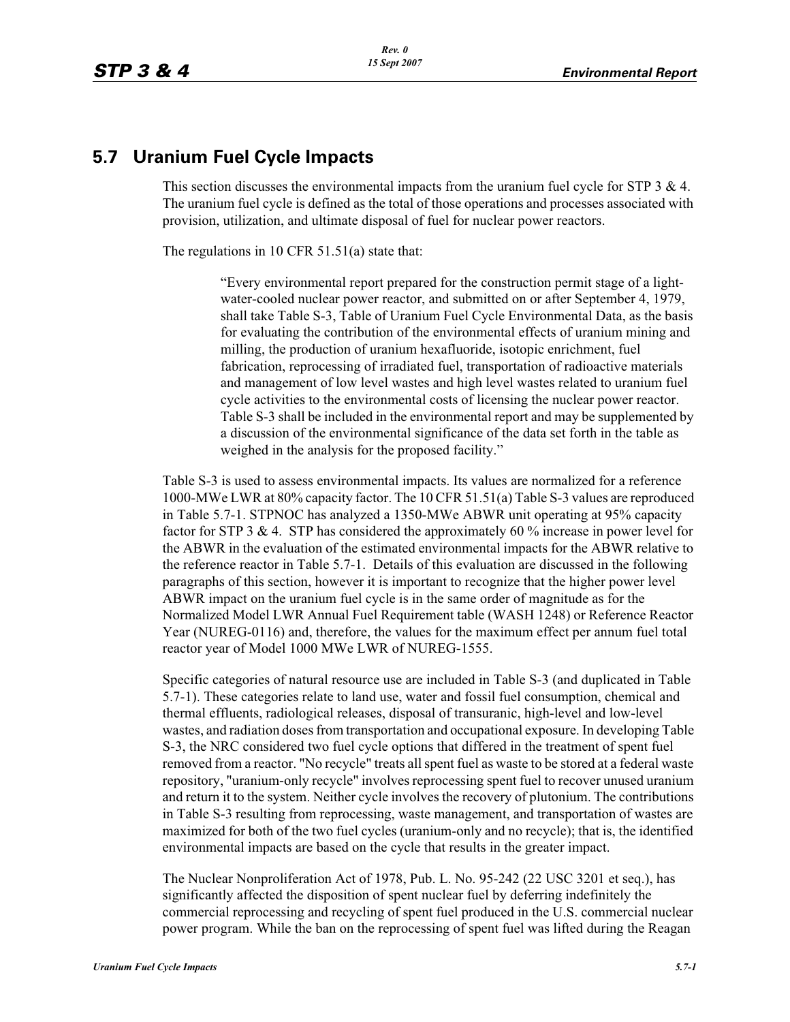# **5.7 Uranium Fuel Cycle Impacts**

This section discusses the environmental impacts from the uranium fuel cycle for STP 3  $\&$  4. The uranium fuel cycle is defined as the total of those operations and processes associated with provision, utilization, and ultimate disposal of fuel for nuclear power reactors.

The regulations in 10 CFR 51.51(a) state that:

"Every environmental report prepared for the construction permit stage of a lightwater-cooled nuclear power reactor, and submitted on or after September 4, 1979, shall take Table S-3, Table of Uranium Fuel Cycle Environmental Data, as the basis for evaluating the contribution of the environmental effects of uranium mining and milling, the production of uranium hexafluoride, isotopic enrichment, fuel fabrication, reprocessing of irradiated fuel, transportation of radioactive materials and management of low level wastes and high level wastes related to uranium fuel cycle activities to the environmental costs of licensing the nuclear power reactor. Table S-3 shall be included in the environmental report and may be supplemented by a discussion of the environmental significance of the data set forth in the table as weighed in the analysis for the proposed facility."

Table S-3 is used to assess environmental impacts. Its values are normalized for a reference 1000-MWe LWR at 80% capacity factor. The 10 CFR 51.51(a) Table S-3 values are reproduced in Table 5.7-1. STPNOC has analyzed a 1350-MWe ABWR unit operating at 95% capacity factor for STP 3 & 4. STP has considered the approximately 60 % increase in power level for the ABWR in the evaluation of the estimated environmental impacts for the ABWR relative to the reference reactor in Table 5.7-1. Details of this evaluation are discussed in the following paragraphs of this section, however it is important to recognize that the higher power level ABWR impact on the uranium fuel cycle is in the same order of magnitude as for the Normalized Model LWR Annual Fuel Requirement table (WASH 1248) or Reference Reactor Year (NUREG-0116) and, therefore, the values for the maximum effect per annum fuel total reactor year of Model 1000 MWe LWR of NUREG-1555.

Specific categories of natural resource use are included in Table S-3 (and duplicated in Table 5.7-1). These categories relate to land use, water and fossil fuel consumption, chemical and thermal effluents, radiological releases, disposal of transuranic, high-level and low-level wastes, and radiation doses from transportation and occupational exposure. In developing Table S-3, the NRC considered two fuel cycle options that differed in the treatment of spent fuel removed from a reactor. "No recycle" treats all spent fuel as waste to be stored at a federal waste repository, "uranium-only recycle" involves reprocessing spent fuel to recover unused uranium and return it to the system. Neither cycle involves the recovery of plutonium. The contributions in Table S-3 resulting from reprocessing, waste management, and transportation of wastes are maximized for both of the two fuel cycles (uranium-only and no recycle); that is, the identified environmental impacts are based on the cycle that results in the greater impact.

The Nuclear Nonproliferation Act of 1978, Pub. L. No. 95-242 (22 USC 3201 et seq.), has significantly affected the disposition of spent nuclear fuel by deferring indefinitely the commercial reprocessing and recycling of spent fuel produced in the U.S. commercial nuclear power program. While the ban on the reprocessing of spent fuel was lifted during the Reagan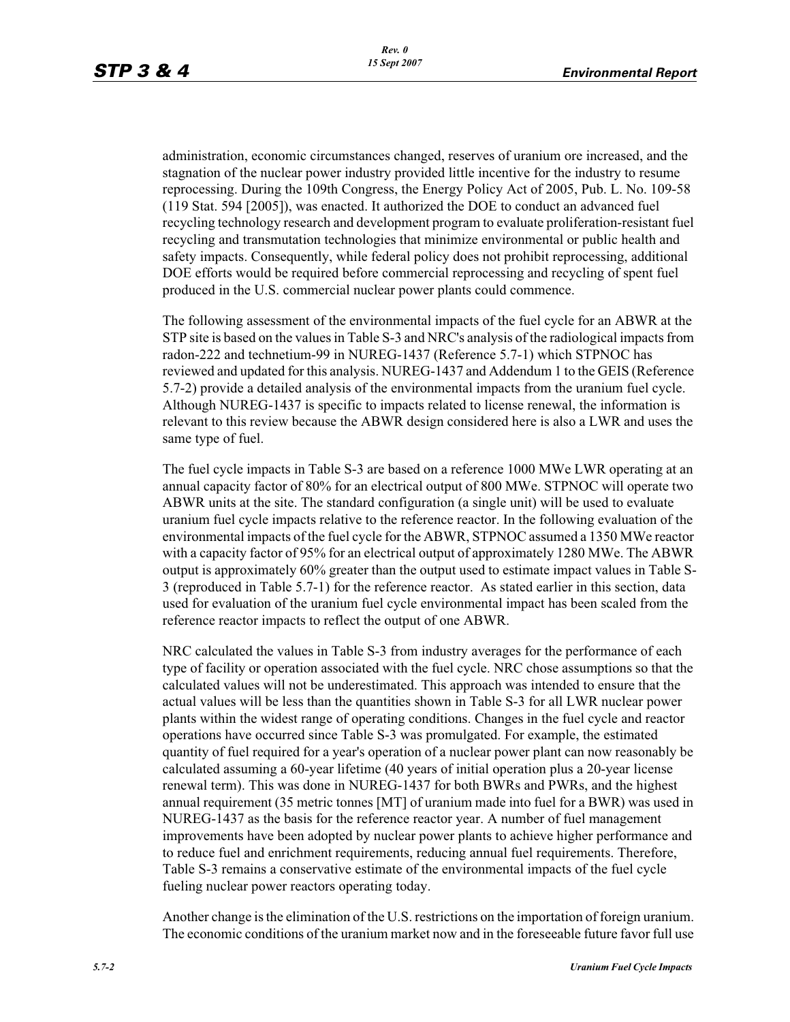administration, economic circumstances changed, reserves of uranium ore increased, and the stagnation of the nuclear power industry provided little incentive for the industry to resume reprocessing. During the 109th Congress, the Energy Policy Act of 2005, Pub. L. No. 109-58 (119 Stat. 594 [2005]), was enacted. It authorized the DOE to conduct an advanced fuel recycling technology research and development program to evaluate proliferation-resistant fuel recycling and transmutation technologies that minimize environmental or public health and safety impacts. Consequently, while federal policy does not prohibit reprocessing, additional DOE efforts would be required before commercial reprocessing and recycling of spent fuel produced in the U.S. commercial nuclear power plants could commence.

The following assessment of the environmental impacts of the fuel cycle for an ABWR at the STP site is based on the values in Table S-3 and NRC's analysis of the radiological impacts from radon-222 and technetium-99 in NUREG-1437 (Reference 5.7-1) which STPNOC has reviewed and updated for this analysis. NUREG-1437 and Addendum 1 to the GEIS (Reference 5.7-2) provide a detailed analysis of the environmental impacts from the uranium fuel cycle. Although NUREG-1437 is specific to impacts related to license renewal, the information is relevant to this review because the ABWR design considered here is also a LWR and uses the same type of fuel.

The fuel cycle impacts in Table S-3 are based on a reference 1000 MWe LWR operating at an annual capacity factor of 80% for an electrical output of 800 MWe. STPNOC will operate two ABWR units at the site. The standard configuration (a single unit) will be used to evaluate uranium fuel cycle impacts relative to the reference reactor. In the following evaluation of the environmental impacts of the fuel cycle for the ABWR, STPNOC assumed a 1350 MWe reactor with a capacity factor of 95% for an electrical output of approximately 1280 MWe. The ABWR output is approximately 60% greater than the output used to estimate impact values in Table S-3 (reproduced in Table 5.7-1) for the reference reactor. As stated earlier in this section, data used for evaluation of the uranium fuel cycle environmental impact has been scaled from the reference reactor impacts to reflect the output of one ABWR.

NRC calculated the values in Table S-3 from industry averages for the performance of each type of facility or operation associated with the fuel cycle. NRC chose assumptions so that the calculated values will not be underestimated. This approach was intended to ensure that the actual values will be less than the quantities shown in Table S-3 for all LWR nuclear power plants within the widest range of operating conditions. Changes in the fuel cycle and reactor operations have occurred since Table S-3 was promulgated. For example, the estimated quantity of fuel required for a year's operation of a nuclear power plant can now reasonably be calculated assuming a 60-year lifetime (40 years of initial operation plus a 20-year license renewal term). This was done in NUREG-1437 for both BWRs and PWRs, and the highest annual requirement (35 metric tonnes [MT] of uranium made into fuel for a BWR) was used in NUREG-1437 as the basis for the reference reactor year. A number of fuel management improvements have been adopted by nuclear power plants to achieve higher performance and to reduce fuel and enrichment requirements, reducing annual fuel requirements. Therefore, Table S-3 remains a conservative estimate of the environmental impacts of the fuel cycle fueling nuclear power reactors operating today.

Another change is the elimination of the U.S. restrictions on the importation of foreign uranium. The economic conditions of the uranium market now and in the foreseeable future favor full use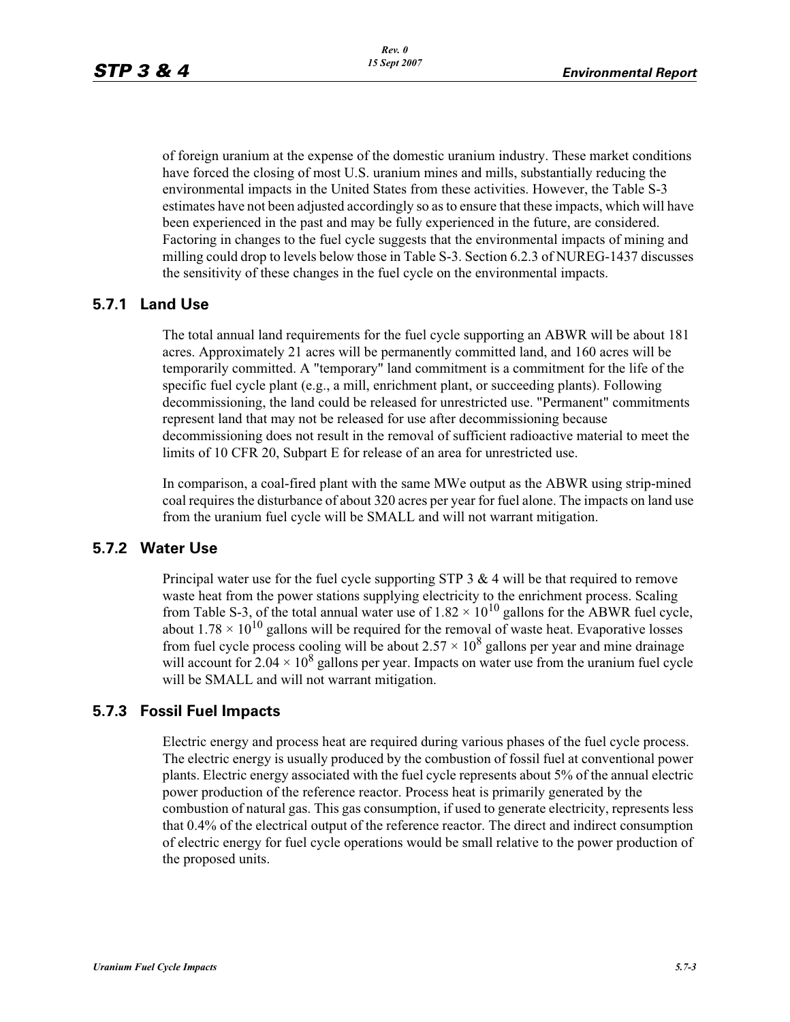of foreign uranium at the expense of the domestic uranium industry. These market conditions have forced the closing of most U.S. uranium mines and mills, substantially reducing the environmental impacts in the United States from these activities. However, the Table S-3 estimates have not been adjusted accordingly so as to ensure that these impacts, which will have been experienced in the past and may be fully experienced in the future, are considered. Factoring in changes to the fuel cycle suggests that the environmental impacts of mining and milling could drop to levels below those in Table S-3. Section 6.2.3 of NUREG-1437 discusses the sensitivity of these changes in the fuel cycle on the environmental impacts.

## **5.7.1 Land Use**

The total annual land requirements for the fuel cycle supporting an ABWR will be about 181 acres. Approximately 21 acres will be permanently committed land, and 160 acres will be temporarily committed. A "temporary" land commitment is a commitment for the life of the specific fuel cycle plant (e.g., a mill, enrichment plant, or succeeding plants). Following decommissioning, the land could be released for unrestricted use. "Permanent" commitments represent land that may not be released for use after decommissioning because decommissioning does not result in the removal of sufficient radioactive material to meet the limits of 10 CFR 20, Subpart E for release of an area for unrestricted use.

In comparison, a coal-fired plant with the same MWe output as the ABWR using strip-mined coal requires the disturbance of about 320 acres per year for fuel alone. The impacts on land use from the uranium fuel cycle will be SMALL and will not warrant mitigation.

### **5.7.2 Water Use**

Principal water use for the fuel cycle supporting STP  $3 \& 4$  will be that required to remove waste heat from the power stations supplying electricity to the enrichment process. Scaling from Table S-3, of the total annual water use of  $1.82 \times 10^{10}$  gallons for the ABWR fuel cycle, about  $1.78 \times 10^{10}$  gallons will be required for the removal of waste heat. Evaporative losses from fuel cycle process cooling will be about  $2.57 \times 10^8$  gallons per year and mine drainage will account for  $2.04 \times 10^8$  gallons per year. Impacts on water use from the uranium fuel cycle will be SMALL and will not warrant mitigation.

## **5.7.3 Fossil Fuel Impacts**

Electric energy and process heat are required during various phases of the fuel cycle process. The electric energy is usually produced by the combustion of fossil fuel at conventional power plants. Electric energy associated with the fuel cycle represents about 5% of the annual electric power production of the reference reactor. Process heat is primarily generated by the combustion of natural gas. This gas consumption, if used to generate electricity, represents less that 0.4% of the electrical output of the reference reactor. The direct and indirect consumption of electric energy for fuel cycle operations would be small relative to the power production of the proposed units.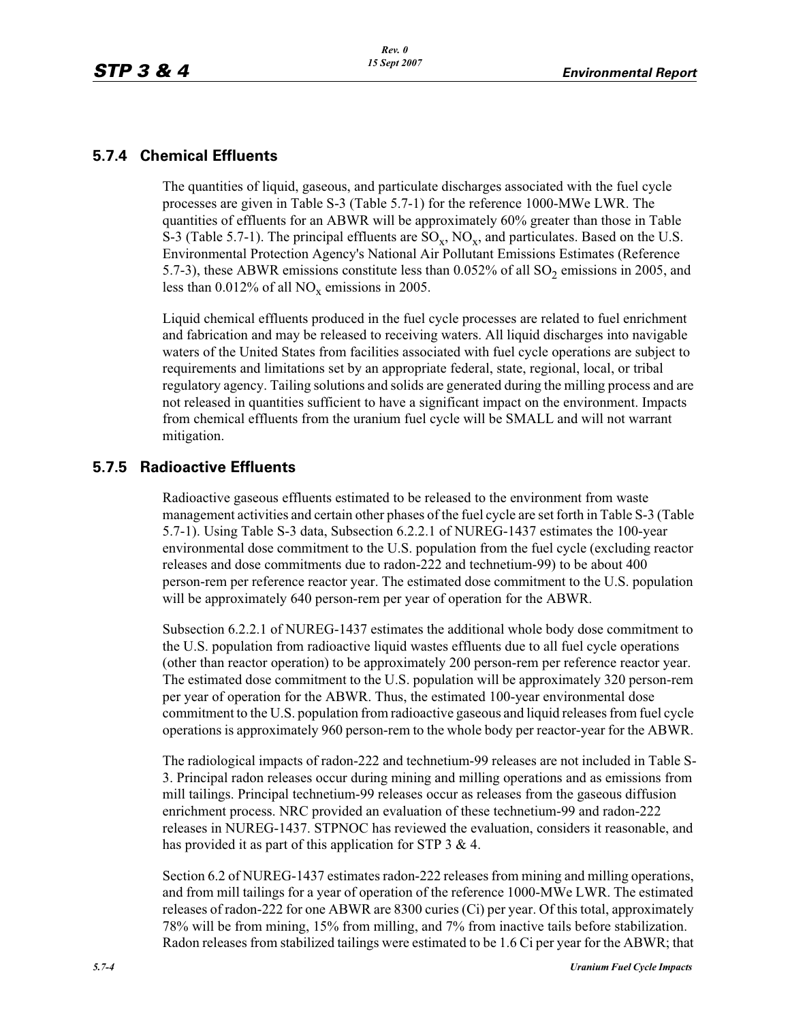## **5.7.4 Chemical Effluents**

The quantities of liquid, gaseous, and particulate discharges associated with the fuel cycle processes are given in Table S-3 (Table 5.7-1) for the reference 1000-MWe LWR. The quantities of effluents for an ABWR will be approximately 60% greater than those in Table S-3 (Table 5.7-1). The principal effluents are  $SO_x$ ,  $NO_x$ , and particulates. Based on the U.S. Environmental Protection Agency's National Air Pollutant Emissions Estimates (Reference 5.7-3), these ABWR emissions constitute less than  $0.052\%$  of all SO<sub>2</sub> emissions in 2005, and less than 0.012% of all  $NO_x$  emissions in 2005.

Liquid chemical effluents produced in the fuel cycle processes are related to fuel enrichment and fabrication and may be released to receiving waters. All liquid discharges into navigable waters of the United States from facilities associated with fuel cycle operations are subject to requirements and limitations set by an appropriate federal, state, regional, local, or tribal regulatory agency. Tailing solutions and solids are generated during the milling process and are not released in quantities sufficient to have a significant impact on the environment. Impacts from chemical effluents from the uranium fuel cycle will be SMALL and will not warrant mitigation.

## **5.7.5 Radioactive Effluents**

Radioactive gaseous effluents estimated to be released to the environment from waste management activities and certain other phases of the fuel cycle are set forth in Table S-3 (Table 5.7-1). Using Table S-3 data, Subsection 6.2.2.1 of NUREG-1437 estimates the 100-year environmental dose commitment to the U.S. population from the fuel cycle (excluding reactor releases and dose commitments due to radon-222 and technetium-99) to be about 400 person-rem per reference reactor year. The estimated dose commitment to the U.S. population will be approximately 640 person-rem per year of operation for the ABWR.

Subsection 6.2.2.1 of NUREG-1437 estimates the additional whole body dose commitment to the U.S. population from radioactive liquid wastes effluents due to all fuel cycle operations (other than reactor operation) to be approximately 200 person-rem per reference reactor year. The estimated dose commitment to the U.S. population will be approximately 320 person-rem per year of operation for the ABWR. Thus, the estimated 100-year environmental dose commitment to the U.S. population from radioactive gaseous and liquid releases from fuel cycle operations is approximately 960 person-rem to the whole body per reactor-year for the ABWR.

The radiological impacts of radon-222 and technetium-99 releases are not included in Table S-3. Principal radon releases occur during mining and milling operations and as emissions from mill tailings. Principal technetium-99 releases occur as releases from the gaseous diffusion enrichment process. NRC provided an evaluation of these technetium-99 and radon-222 releases in NUREG-1437. STPNOC has reviewed the evaluation, considers it reasonable, and has provided it as part of this application for STP 3 & 4.

Section 6.2 of NUREG-1437 estimates radon-222 releases from mining and milling operations, and from mill tailings for a year of operation of the reference 1000-MWe LWR. The estimated releases of radon-222 for one ABWR are 8300 curies (Ci) per year. Of this total, approximately 78% will be from mining, 15% from milling, and 7% from inactive tails before stabilization. Radon releases from stabilized tailings were estimated to be 1.6 Ci per year for the ABWR; that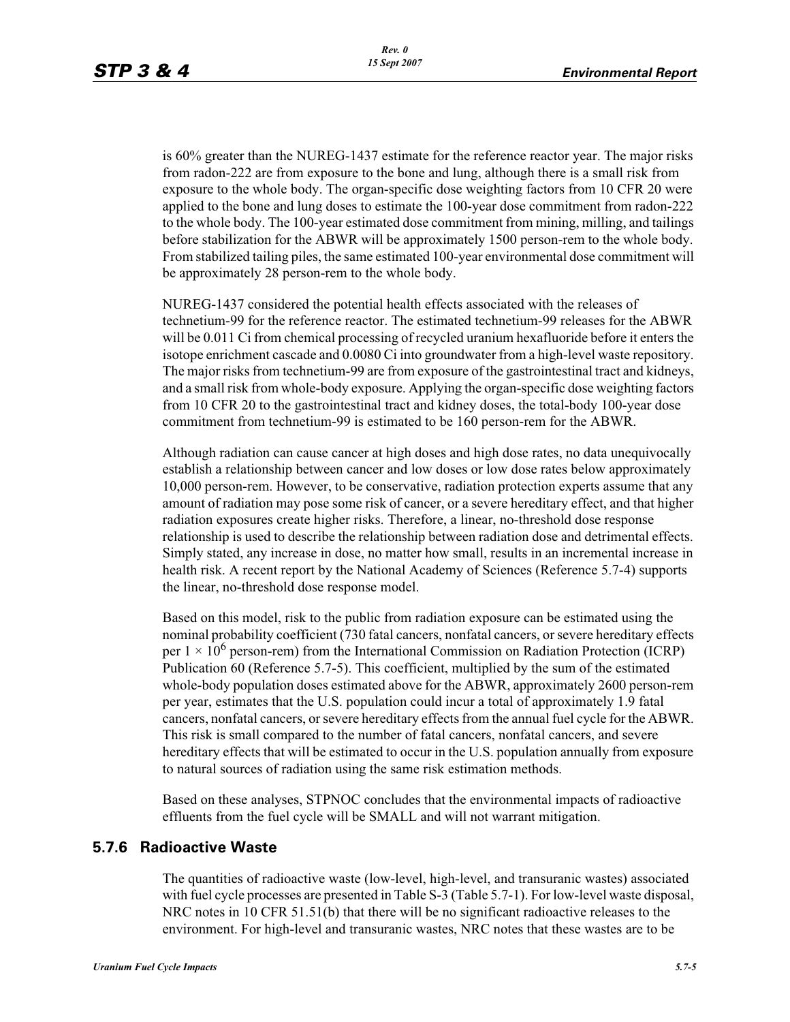is 60% greater than the NUREG-1437 estimate for the reference reactor year. The major risks from radon-222 are from exposure to the bone and lung, although there is a small risk from exposure to the whole body. The organ-specific dose weighting factors from 10 CFR 20 were applied to the bone and lung doses to estimate the 100-year dose commitment from radon-222 to the whole body. The 100-year estimated dose commitment from mining, milling, and tailings before stabilization for the ABWR will be approximately 1500 person-rem to the whole body. From stabilized tailing piles, the same estimated 100-year environmental dose commitment will be approximately 28 person-rem to the whole body.

NUREG-1437 considered the potential health effects associated with the releases of technetium-99 for the reference reactor. The estimated technetium-99 releases for the ABWR will be 0.011 Ci from chemical processing of recycled uranium hexafluoride before it enters the isotope enrichment cascade and 0.0080 Ci into groundwater from a high-level waste repository. The major risks from technetium-99 are from exposure of the gastrointestinal tract and kidneys, and a small risk from whole-body exposure. Applying the organ-specific dose weighting factors from 10 CFR 20 to the gastrointestinal tract and kidney doses, the total-body 100-year dose commitment from technetium-99 is estimated to be 160 person-rem for the ABWR.

Although radiation can cause cancer at high doses and high dose rates, no data unequivocally establish a relationship between cancer and low doses or low dose rates below approximately 10,000 person-rem. However, to be conservative, radiation protection experts assume that any amount of radiation may pose some risk of cancer, or a severe hereditary effect, and that higher radiation exposures create higher risks. Therefore, a linear, no-threshold dose response relationship is used to describe the relationship between radiation dose and detrimental effects. Simply stated, any increase in dose, no matter how small, results in an incremental increase in health risk. A recent report by the National Academy of Sciences (Reference 5.7-4) supports the linear, no-threshold dose response model.

Based on this model, risk to the public from radiation exposure can be estimated using the nominal probability coefficient (730 fatal cancers, nonfatal cancers, or severe hereditary effects per  $1 \times 10^6$  person-rem) from the International Commission on Radiation Protection (ICRP) Publication 60 (Reference 5.7-5). This coefficient, multiplied by the sum of the estimated whole-body population doses estimated above for the ABWR, approximately 2600 person-rem per year, estimates that the U.S. population could incur a total of approximately 1.9 fatal cancers, nonfatal cancers, or severe hereditary effects from the annual fuel cycle for the ABWR. This risk is small compared to the number of fatal cancers, nonfatal cancers, and severe hereditary effects that will be estimated to occur in the U.S. population annually from exposure to natural sources of radiation using the same risk estimation methods.

Based on these analyses, STPNOC concludes that the environmental impacts of radioactive effluents from the fuel cycle will be SMALL and will not warrant mitigation.

### **5.7.6 Radioactive Waste**

The quantities of radioactive waste (low-level, high-level, and transuranic wastes) associated with fuel cycle processes are presented in Table S-3 (Table 5.7-1). For low-level waste disposal, NRC notes in 10 CFR 51.51(b) that there will be no significant radioactive releases to the environment. For high-level and transuranic wastes, NRC notes that these wastes are to be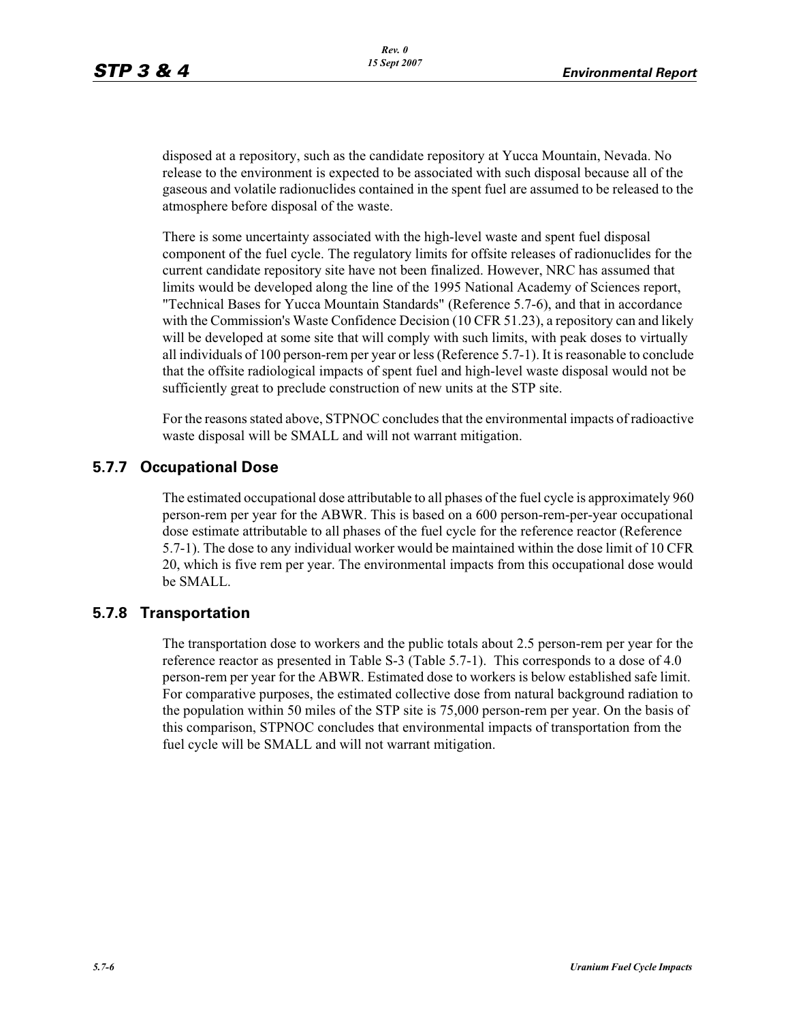disposed at a repository, such as the candidate repository at Yucca Mountain, Nevada. No release to the environment is expected to be associated with such disposal because all of the gaseous and volatile radionuclides contained in the spent fuel are assumed to be released to the atmosphere before disposal of the waste.

There is some uncertainty associated with the high-level waste and spent fuel disposal component of the fuel cycle. The regulatory limits for offsite releases of radionuclides for the current candidate repository site have not been finalized. However, NRC has assumed that limits would be developed along the line of the 1995 National Academy of Sciences report, "Technical Bases for Yucca Mountain Standards" (Reference 5.7-6), and that in accordance with the Commission's Waste Confidence Decision (10 CFR 51.23), a repository can and likely will be developed at some site that will comply with such limits, with peak doses to virtually all individuals of 100 person-rem per year or less (Reference 5.7-1). It is reasonable to conclude that the offsite radiological impacts of spent fuel and high-level waste disposal would not be sufficiently great to preclude construction of new units at the STP site.

For the reasons stated above, STPNOC concludes that the environmental impacts of radioactive waste disposal will be SMALL and will not warrant mitigation.

# **5.7.7 Occupational Dose**

The estimated occupational dose attributable to all phases of the fuel cycle is approximately 960 person-rem per year for the ABWR. This is based on a 600 person-rem-per-year occupational dose estimate attributable to all phases of the fuel cycle for the reference reactor (Reference 5.7-1). The dose to any individual worker would be maintained within the dose limit of 10 CFR 20, which is five rem per year. The environmental impacts from this occupational dose would be SMALL.

## **5.7.8 Transportation**

The transportation dose to workers and the public totals about 2.5 person-rem per year for the reference reactor as presented in Table S-3 (Table 5.7-1). This corresponds to a dose of 4.0 person-rem per year for the ABWR. Estimated dose to workers is below established safe limit. For comparative purposes, the estimated collective dose from natural background radiation to the population within 50 miles of the STP site is 75,000 person-rem per year. On the basis of this comparison, STPNOC concludes that environmental impacts of transportation from the fuel cycle will be SMALL and will not warrant mitigation.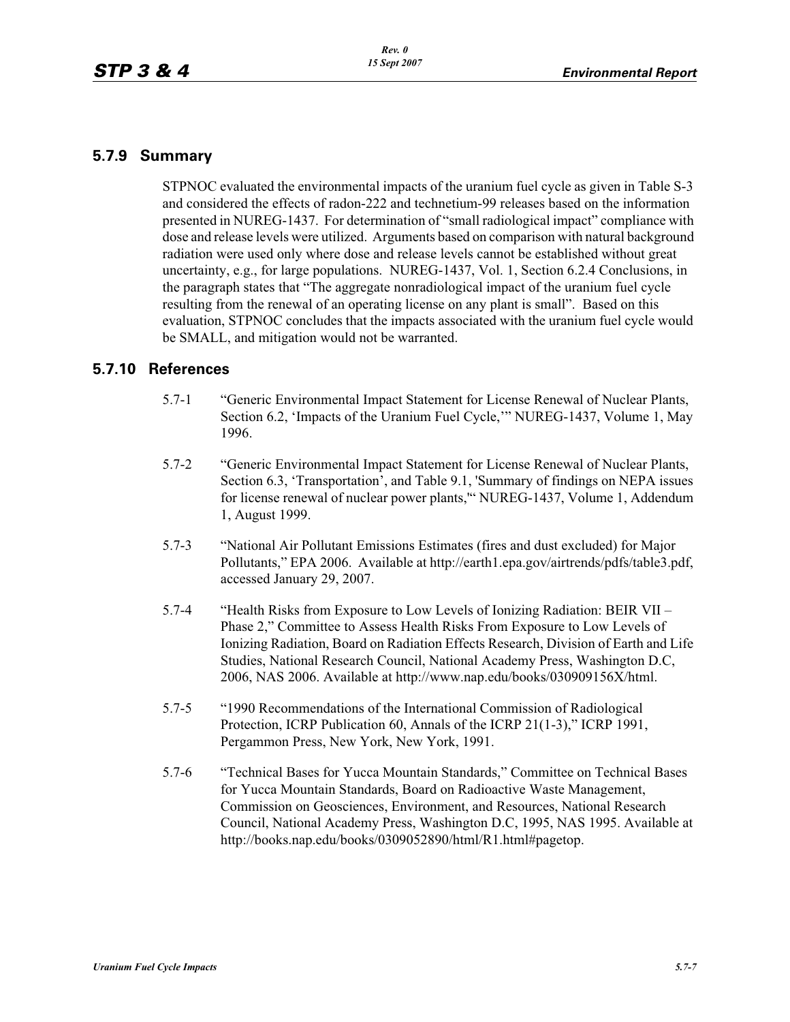## **5.7.9 Summary**

STPNOC evaluated the environmental impacts of the uranium fuel cycle as given in Table S-3 and considered the effects of radon-222 and technetium-99 releases based on the information presented in NUREG-1437. For determination of "small radiological impact" compliance with dose and release levels were utilized. Arguments based on comparison with natural background radiation were used only where dose and release levels cannot be established without great uncertainty, e.g., for large populations. NUREG-1437, Vol. 1, Section 6.2.4 Conclusions, in the paragraph states that "The aggregate nonradiological impact of the uranium fuel cycle resulting from the renewal of an operating license on any plant is small". Based on this evaluation, STPNOC concludes that the impacts associated with the uranium fuel cycle would be SMALL, and mitigation would not be warranted.

### **5.7.10 References**

- 5.7-1 "Generic Environmental Impact Statement for License Renewal of Nuclear Plants, Section 6.2, 'Impacts of the Uranium Fuel Cycle,'" NUREG-1437, Volume 1, May 1996.
- 5.7-2 "Generic Environmental Impact Statement for License Renewal of Nuclear Plants, Section 6.3, 'Transportation', and Table 9.1, 'Summary of findings on NEPA issues for license renewal of nuclear power plants,'" NUREG-1437, Volume 1, Addendum 1, August 1999.
- 5.7-3 "National Air Pollutant Emissions Estimates (fires and dust excluded) for Major Pollutants," EPA 2006. Available at http://earth1.epa.gov/airtrends/pdfs/table3.pdf, accessed January 29, 2007.
- 5.7-4 "Health Risks from Exposure to Low Levels of Ionizing Radiation: BEIR VII Phase 2," Committee to Assess Health Risks From Exposure to Low Levels of Ionizing Radiation, Board on Radiation Effects Research, Division of Earth and Life Studies, National Research Council, National Academy Press, Washington D.C, 2006, NAS 2006. Available at http://www.nap.edu/books/030909156X/html.
- 5.7-5 "1990 Recommendations of the International Commission of Radiological Protection, ICRP Publication 60, Annals of the ICRP 21(1-3)," ICRP 1991, Pergammon Press, New York, New York, 1991.
- 5.7-6 "Technical Bases for Yucca Mountain Standards," Committee on Technical Bases for Yucca Mountain Standards, Board on Radioactive Waste Management, Commission on Geosciences, Environment, and Resources, National Research Council, National Academy Press, Washington D.C, 1995, NAS 1995. Available at http://books.nap.edu/books/0309052890/html/R1.html#pagetop.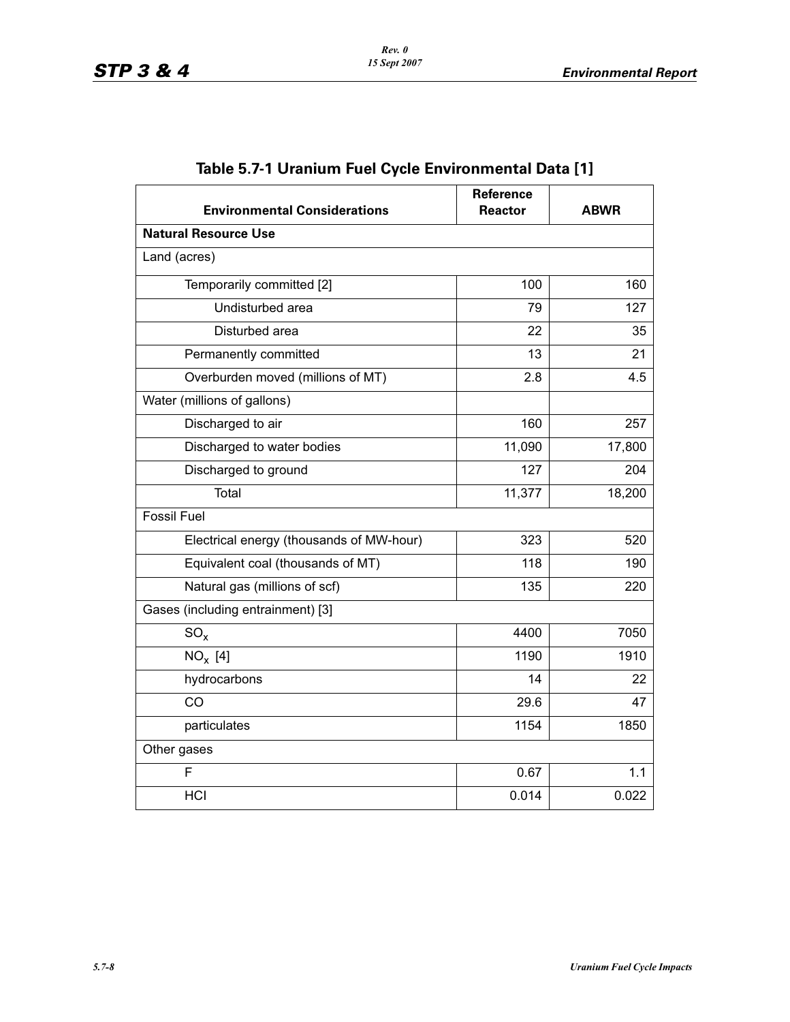| <b>Environmental Considerations</b>      | Reference<br><b>Reactor</b> | <b>ABWR</b> |  |
|------------------------------------------|-----------------------------|-------------|--|
| <b>Natural Resource Use</b>              |                             |             |  |
| Land (acres)                             |                             |             |  |
| Temporarily committed [2]                | 100                         | 160         |  |
| Undisturbed area                         | 79                          | 127         |  |
| Disturbed area                           | 22                          | 35          |  |
| Permanently committed                    | 13                          | 21          |  |
| Overburden moved (millions of MT)        | 2.8                         | 4.5         |  |
| Water (millions of gallons)              |                             |             |  |
| Discharged to air                        | 160                         | 257         |  |
| Discharged to water bodies               | 11,090                      | 17,800      |  |
| Discharged to ground                     | 127                         | 204         |  |
| Total                                    | 11,377                      | 18,200      |  |
| <b>Fossil Fuel</b>                       |                             |             |  |
| Electrical energy (thousands of MW-hour) | 323                         | 520         |  |
| Equivalent coal (thousands of MT)        | 118                         | 190         |  |
| Natural gas (millions of scf)            | 135                         | 220         |  |
| Gases (including entrainment) [3]        |                             |             |  |
| $SO_{x}$                                 | 4400                        | 7050        |  |
| $NO_x$ [4]                               | 1190                        | 1910        |  |
| hydrocarbons                             | 14                          | 22          |  |
| CO                                       | 29.6                        | 47          |  |
| particulates                             | 1154                        | 1850        |  |
| Other gases                              |                             |             |  |
| F                                        | 0.67                        | 1.1         |  |
| HCI                                      | 0.014                       | 0.022       |  |

# **Table 5.7-1 Uranium Fuel Cycle Environmental Data [1]**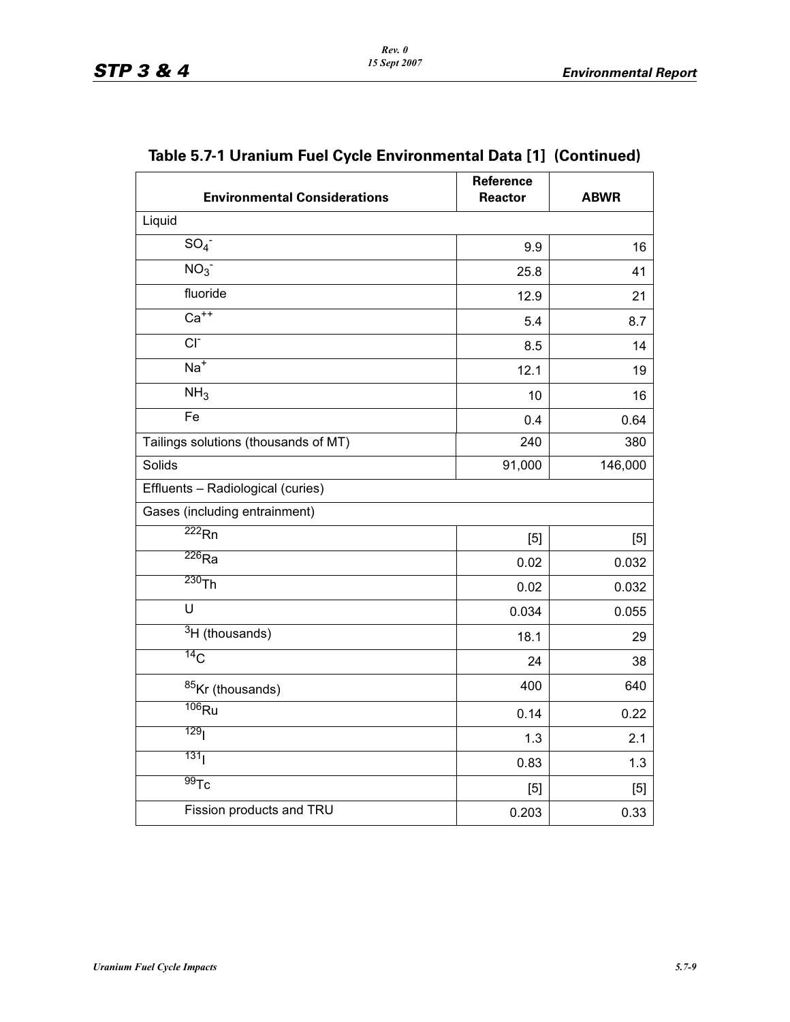| <b>Environmental Considerations</b>  | Reference<br><b>Reactor</b> | <b>ABWR</b> |
|--------------------------------------|-----------------------------|-------------|
| Liquid                               |                             |             |
| $SO_4^-$                             | 9.9                         | 16          |
| NO <sub>3</sub>                      | 25.8                        | 41          |
| fluoride                             | 12.9                        | 21          |
| $Ca++$                               | 5.4                         | 8.7         |
| $CI-$                                | 8.5                         | 14          |
| $Na+$                                | 12.1                        | 19          |
| NH <sub>3</sub>                      | 10                          | 16          |
| Fe                                   | 0.4                         | 0.64        |
| Tailings solutions (thousands of MT) | 240                         | 380         |
| Solids                               | 91,000                      | 146,000     |
| Effluents - Radiological (curies)    |                             |             |
| Gases (including entrainment)        |                             |             |
| $\overline{222}$ Rn                  | [5]                         | [5]         |
| $\overline{^{226}}$ Ra               | 0.02                        | 0.032       |
| 230Th                                | 0.02                        | 0.032       |
| U                                    | 0.034                       | 0.055       |
| $\overline{3}$ H (thousands)         | 18.1                        | 29          |
| 14 <sub>C</sub>                      | 24                          | 38          |
| 85Kr (thousands)                     | 400                         | 640         |
| $\overline{^{106}R}$ u               | 0.14                        | 0.22        |
| 129 <sub>l</sub>                     | 1.3                         | 2.1         |
| 131 <sub>1</sub>                     | 0.83                        | 1.3         |
| $\overline{99}$ Tc                   | [5]                         | [5]         |
| Fission products and TRU             | 0.203                       | 0.33        |

# **Table 5.7-1 Uranium Fuel Cycle Environmental Data [1] (Continued)**